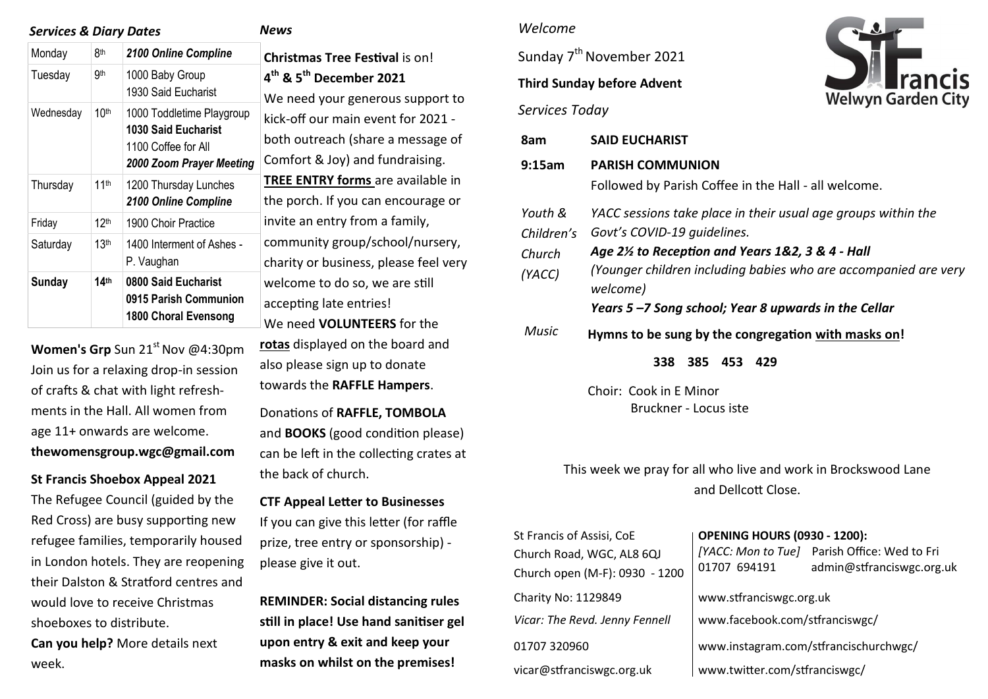| <b>Services &amp; Diary Dates</b> |                  | <b>News</b>                                                                                                |                                                                   |
|-----------------------------------|------------------|------------------------------------------------------------------------------------------------------------|-------------------------------------------------------------------|
| Monday                            | 8th              | 2100 Online Compline                                                                                       | <b>Christmas Tree Fe</b>                                          |
| Tuesday                           | 9th              | 1000 Baby Group<br>1930 Said Eucharist                                                                     | 4 <sup>th</sup> & 5 <sup>th</sup> Decembe<br>We need your gen     |
| Wednesday                         | 10 <sup>th</sup> | 1000 Toddletime Playgroup<br><b>1030 Said Eucharist</b><br>1100 Coffee for All<br>2000 Zoom Prayer Meeting | kick-off our main e<br>both outreach (sha<br>Comfort & Joy) an    |
| Thursday                          | 11 <sup>th</sup> | 1200 Thursday Lunches<br>2100 Online Compline                                                              | <b>TREE ENTRY forms</b><br>the porch. If you c                    |
| Friday                            | 12 <sup>th</sup> | 1900 Choir Practice                                                                                        | invite an entry fro                                               |
| Saturday                          | 13 <sup>th</sup> | 1400 Interment of Ashes -<br>P. Vaughan                                                                    | community group,<br>charity or business                           |
| Sunday                            | 14 <sup>th</sup> | 0800 Said Eucharist<br>0915 Parish Communion<br>1800 Choral Evensong                                       | welcome to do so,<br>accepting late enti<br>We need <b>VOLUNT</b> |

**Women's Grp** Sun 21<sup>st</sup> Nov @4:30pm Join us for a relaxing drop-in session of crafts & chat with light refreshments in the Hall. All women from age 11+ onwards are welcome. **thewomensgroup.wgc@gmail.com**

**St Francis Shoebox Appeal 2021** 

The Refugee Council (guided by the Red Cross) are busy supporting new refugee families, temporarily housed in London hotels. They are reopening their Dalston & Stratford centres and would love to receive Christmas shoeboxes to distribute. **Can you help?** More details next week.

**Stival** is on! **th & 5th December 2021**  erous support to event for 2021 -  $\overline{a}$ are a message of d fundraising. **S** are available in an encourage or m a family, /school/nursery, s, please feel very we are still ries! **FFRS** for the **rotas** displayed on the board and also please sign up to donate

Donations of **RAFFLE, TOMBOLA** and **BOOKS** (good condition please) can be left in the collecting crates at the back of church.

towards the **RAFFLE Hampers**.

**CTF Appeal Letter to Businesses**  If you can give this letter (for raffle prize, tree entry or sponsorship) please give it out.

**REMINDER: Social distancing rules still in place! Use hand sanitiser gel upon entry & exit and keep your masks on whilst on the premises!** 

## *Welcome*

Sunday 7<sup>th</sup> November 2021 **Third Sunday before Advent**  *Services Today*



| 8am                                       | <b>SAID EUCHARIST</b>                                                                                                                                                                                                                                                                 |  |  |  |  |
|-------------------------------------------|---------------------------------------------------------------------------------------------------------------------------------------------------------------------------------------------------------------------------------------------------------------------------------------|--|--|--|--|
| 9:15am                                    | <b>PARISH COMMUNION</b><br>Followed by Parish Coffee in the Hall - all welcome.                                                                                                                                                                                                       |  |  |  |  |
| Youth &<br>Children's<br>Church<br>(YACC) | YACC sessions take place in their usual age groups within the<br>Govt's COVID-19 quidelines.<br>Age 2% to Reception and Years 1&2, 3 & 4 - Hall<br>(Younger children including babies who are accompanied are very<br>welcome)<br>Years 5-7 Song school; Year 8 upwards in the Cellar |  |  |  |  |
| Music                                     | Hymns to be sung by the congregation with masks on!<br>338 385 453<br>429                                                                                                                                                                                                             |  |  |  |  |
|                                           | Choir: Cook in E Minor<br>Bruckner - Locus iste                                                                                                                                                                                                                                       |  |  |  |  |

This week we pray for all who live and work in Brockswood Lane and Dellcott Close.

| <b>OPENING HOURS (0930 - 1200):</b><br>[YACC: Mon to Tue] Parish Office: Wed to Fri<br>admin@stfranciswgc.org.uk<br>01707 694191 |  |
|----------------------------------------------------------------------------------------------------------------------------------|--|
| www.stfranciswgc.org.uk                                                                                                          |  |
| www.facebook.com/stfranciswgc/                                                                                                   |  |
| www.instagram.com/stfrancischurchwgc/                                                                                            |  |
| www.twitter.com/stfranciswgc/                                                                                                    |  |
|                                                                                                                                  |  |